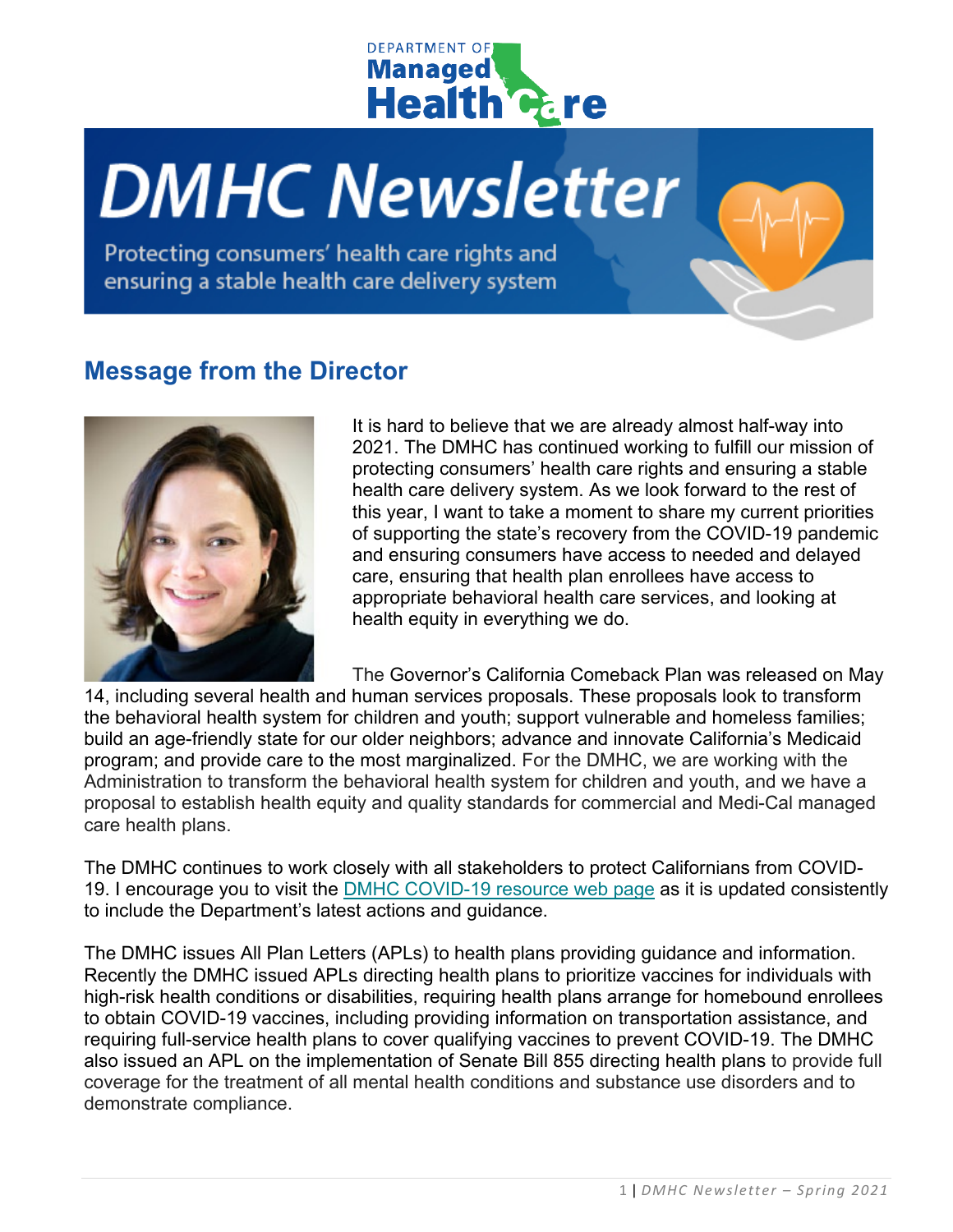

# **DMHC Newsletter**

Protecting consumers' health care rights and ensuring a stable health care delivery system

#### **Message from the Director**



It is hard to believe that we are already almost half-way into 2021. The DMHC has continued working to fulfill our mission of protecting consumers' health care rights and ensuring a stable health care delivery system. As we look forward to the rest of this year, I want to take a moment to share my current priorities of supporting the state's recovery from the COVID-19 pandemic and ensuring consumers have access to needed and delayed care, ensuring that health plan enrollees have access to appropriate behavioral health care services, and looking at health equity in everything we do.

The Governor's California Comeback Plan was released on May 14, including several health and human services proposals. These proposals look to transform the behavioral health system for children and youth; support vulnerable and homeless families; build an age-friendly state for our older neighbors; advance and innovate California's Medicaid program; and provide care to the most marginalized. For the DMHC, we are working with the Administration to transform the behavioral health system for children and youth, and we have a proposal to establish health equity and quality standards for commercial and Medi-Cal managed care health plans.

The DMHC continues to work closely with all stakeholders to protect Californians from COVID-19. I encourage you to visit the [DMHC COVID-19 resource web page](http://www.dmhc.ca.gov/COVID-19.aspx) as it is updated consistently to include the Department's latest actions and guidance.

The DMHC issues All Plan Letters (APLs) to health plans providing guidance and information. Recently the DMHC issued APLs directing health plans to prioritize vaccines for individuals with high-risk health conditions or disabilities, requiring health plans arrange for homebound enrollees to obtain COVID-19 vaccines, including providing information on transportation assistance, and requiring full-service health plans to cover qualifying vaccines to prevent COVID-19. The DMHC also issued an APL on the implementation of Senate Bill 855 directing health plans to provide full coverage for the treatment of all mental health conditions and substance use disorders and to demonstrate compliance.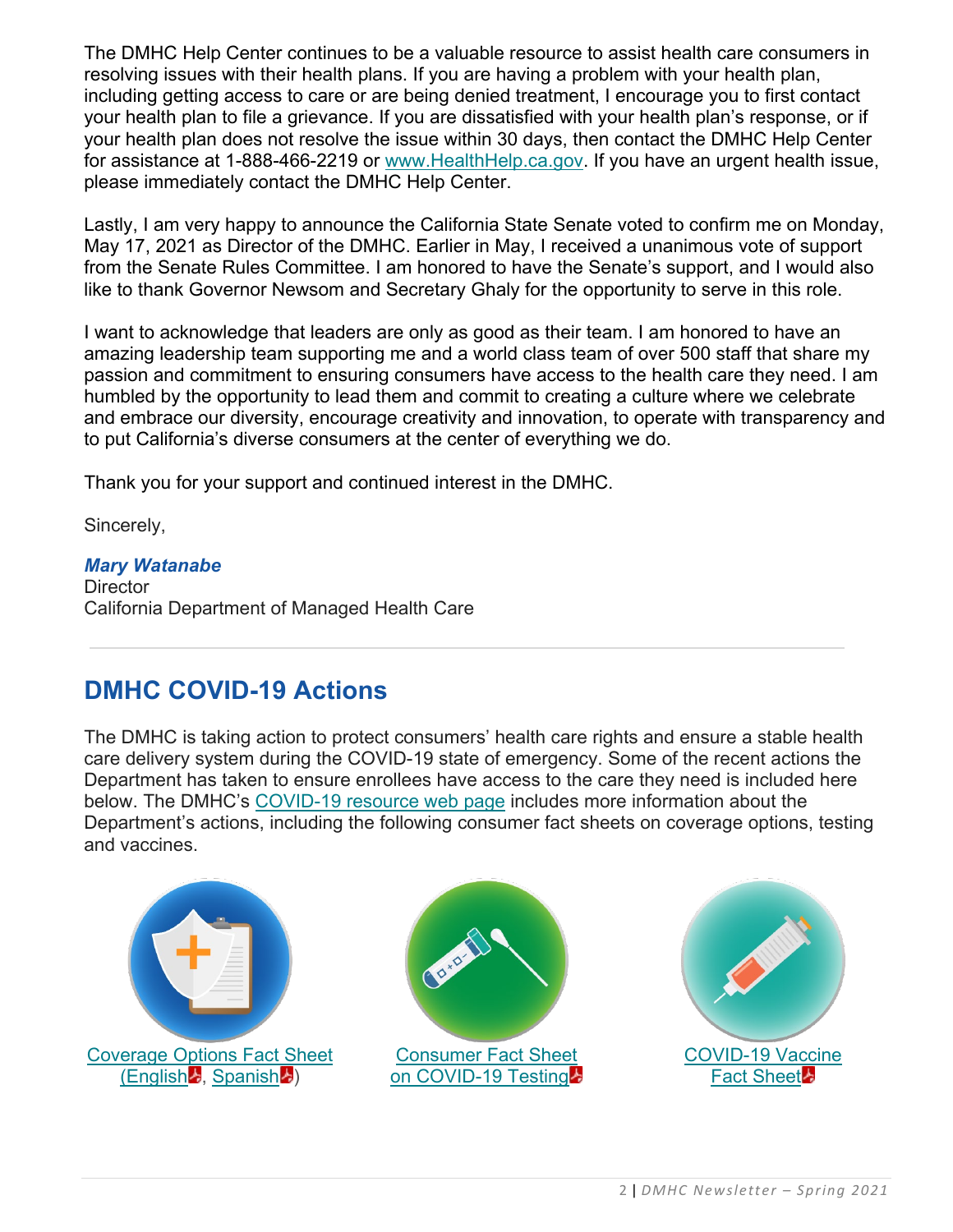The DMHC Help Center continues to be a valuable resource to assist health care consumers in resolving issues with their health plans. If you are having a problem with your health plan, including getting access to care or are being denied treatment, I encourage you to first contact your health plan to file a grievance. If you are dissatisfied with your health plan's response, or if your health plan does not resolve the issue within 30 days, then contact the DMHC Help Center for assistance at 1-888-466-2219 or [www.HealthHelp.ca.gov.](http://www.healthhelp.ca.gov/) If you have an urgent health issue, please immediately contact the DMHC Help Center.

Lastly, I am very happy to announce the California State Senate voted to confirm me on Monday, May 17, 2021 as Director of the DMHC. Earlier in May, I received a unanimous vote of support from the Senate Rules Committee. I am honored to have the Senate's support, and I would also like to thank Governor Newsom and Secretary Ghaly for the opportunity to serve in this role.

I want to acknowledge that leaders are only as good as their team. I am honored to have an amazing leadership team supporting me and a world class team of over 500 staff that share my passion and commitment to ensuring consumers have access to the health care they need. I am humbled by the opportunity to lead them and commit to creating a culture where we celebrate and embrace our diversity, encourage creativity and innovation, to operate with transparency and to put California's diverse consumers at the center of everything we do.

Thank you for your support and continued interest in the DMHC.

Sincerely,

*Mary Watanabe* **Director** California Department of Managed Health Care

# **DMHC COVID-19 Actions**

The DMHC is taking action to protect consumers' health care rights and ensure a stable health care delivery system during the COVID-19 state of emergency. Some of the recent actions the Department has taken to ensure enrollees have access to the care they need is included here below. The DMHC's [COVID-19 resource web page](http://www.dmhc.ca.gov/COVID-19.aspx) includes more information about the Department's actions, including the following consumer fact sheets on coverage options, testing and vaccines.



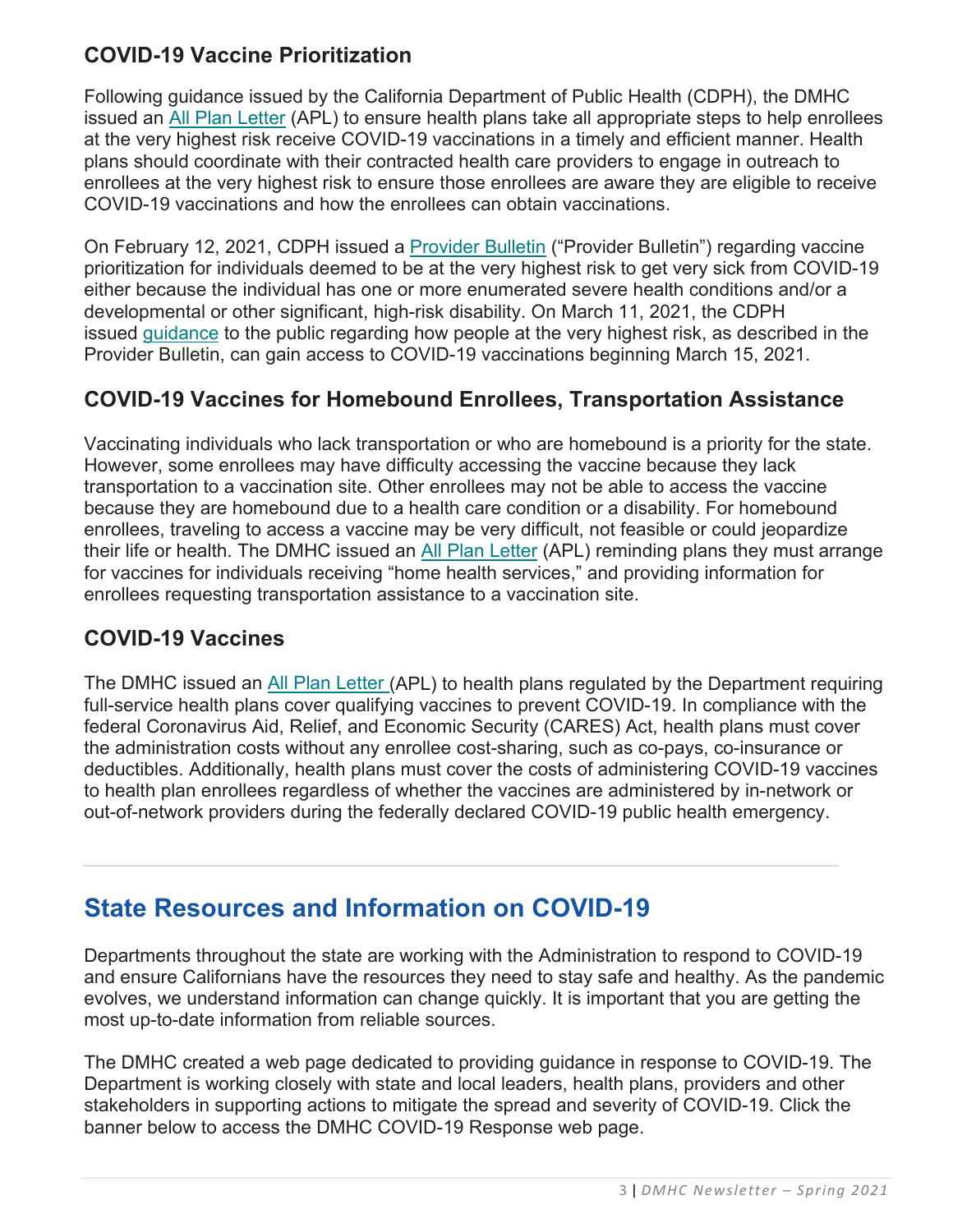#### **COVID-19 Vaccine Prioritization**

Following guidance issued by the California Department of Public Health (CDPH), the DMHC issued an [All Plan Letter](https://www.dmhc.ca.gov/Portals/0/Docs/DO/APL21-012-COVID-19VaccinePrioritization.pdf) (APL) to ensure health plans take all appropriate steps to help enrollees at the very highest risk receive COVID-19 vaccinations in a timely and efficient manner. Health plans should coordinate with their contracted health care providers to engage in outreach to enrollees at the very highest risk to ensure those enrollees are aware they are eligible to receive COVID-19 vaccinations and how the enrollees can obtain vaccinations.

On February 12, 2021, CDPH issued a [Provider Bulletin](https://www.cdph.ca.gov/Programs/CID/DCDC/Pages/COVID-19/Provider-Bulletin-2-12-21.aspx) ("Provider Bulletin") regarding vaccine prioritization for individuals deemed to be at the very highest risk to get very sick from COVID-19 either because the individual has one or more enumerated severe health conditions and/or a developmental or other significant, high-risk disability. On March 11, 2021, the CDPH issued [guidance](https://www.cdph.ca.gov/Programs/CID/DCDC/Pages/COVID-19/vaccine-high-risk-factsheet.aspx) to the public regarding how people at the very highest risk, as described in the Provider Bulletin, can gain access to COVID-19 vaccinations beginning March 15, 2021.

#### **COVID-19 Vaccines for Homebound Enrollees, Transportation Assistance**

Vaccinating individuals who lack transportation or who are homebound is a priority for the state. However, some enrollees may have difficulty accessing the vaccine because they lack transportation to a vaccination site. Other enrollees may not be able to access the vaccine because they are homebound due to a health care condition or a disability. For homebound enrollees, traveling to access a vaccine may be very difficult, not feasible or could jeopardize their life or health. The DMHC issued an [All Plan Letter](https://www.dmhc.ca.gov/Portals/0/Docs/OPL/APL%2021-014%20-%20COVID-19%20Vaccinations%20for%20Homebound%20Enrollees%20(5_3_2021).pdf) (APL) reminding plans they must arrange for vaccines for individuals receiving "home health services," and providing information for enrollees requesting transportation assistance to a vaccination site.

#### **COVID-19 Vaccines**

The DMHC issued an [All Plan Letter](https://dmhc.ca.gov/Portals/0/Docs/OPL/APL%2020-039%20-%20COVID-19%20Vaccine%20Coverage%20(12_11_2020).pdf?ver=2020-12-11-170630-497) (APL) to health plans regulated by the Department requiring full-service health plans cover qualifying vaccines to prevent COVID-19. In compliance with the federal Coronavirus Aid, Relief, and Economic Security (CARES) Act, health plans must cover the administration costs without any enrollee cost-sharing, such as co-pays, co-insurance or deductibles. Additionally, health plans must cover the costs of administering COVID-19 vaccines to health plan enrollees regardless of whether the vaccines are administered by in-network or out-of-network providers during the federally declared COVID-19 public health emergency.

# **State Resources and Information on COVID-19**

Departments throughout the state are working with the Administration to respond to COVID-19 and ensure Californians have the resources they need to stay safe and healthy. As the pandemic evolves, we understand information can change quickly. It is important that you are getting the most up-to-date information from reliable sources.

The DMHC created a web page dedicated to providing guidance in response to COVID-19. The Department is working closely with state and local leaders, health plans, providers and other stakeholders in supporting actions to mitigate the spread and severity of COVID-19. Click the banner below to access the DMHC COVID-19 Response web page.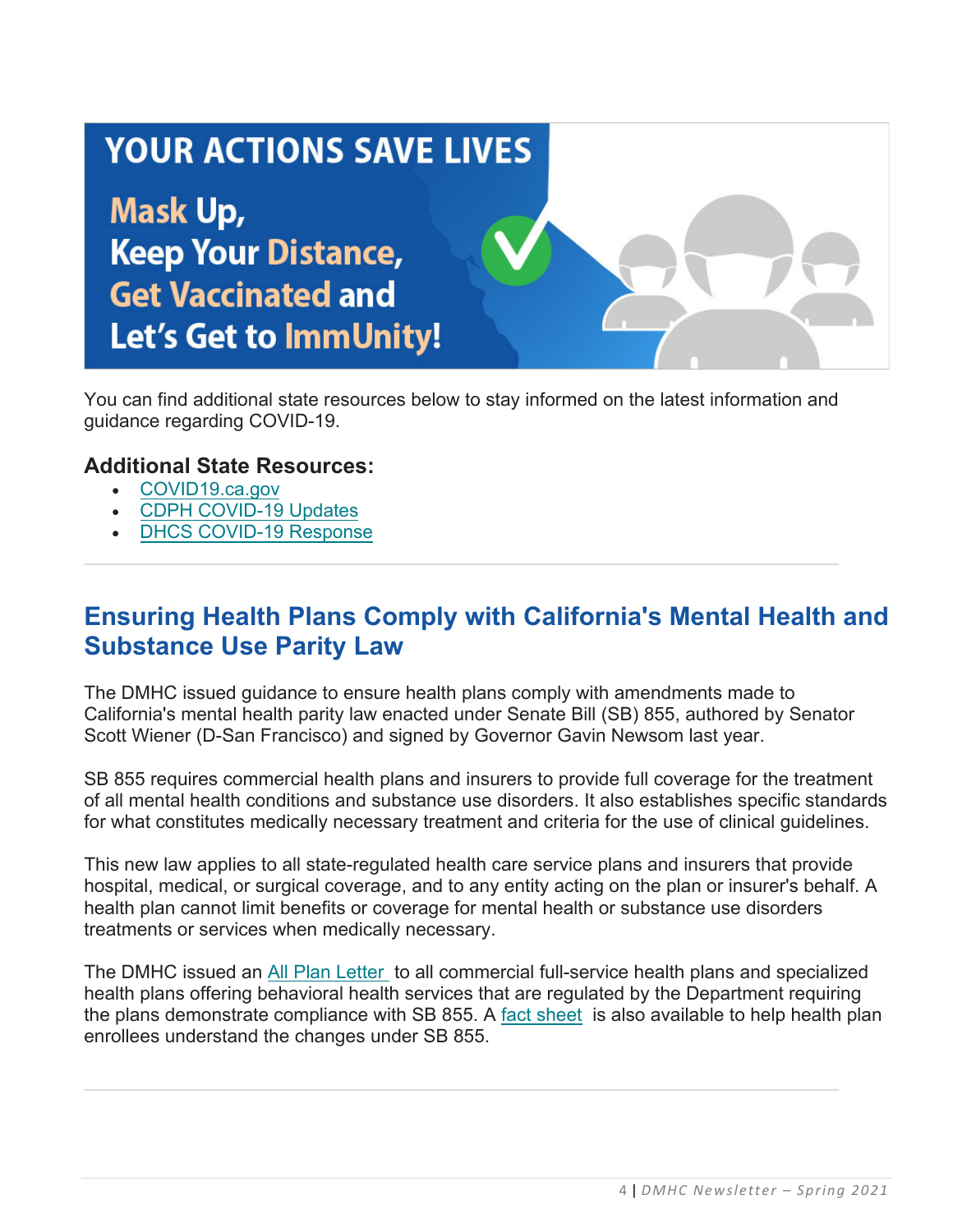# **YOUR ACTIONS SAVE LIVES Mask Up, Keep Your Distance, Get Vaccinated and** Let's Get to ImmUnity!

You can find additional state resources below to stay informed on the latest information and guidance regarding COVID-19.

#### **Additional State Resources:**

- [COVID19.ca.gov](https://covid19.ca.gov/)
- [CDPH COVID-19 Updates](https://www.cdph.ca.gov/Programs/CID/DCDC/Pages/Immunization/ncov2019.aspx)
- [DHCS COVID-19 Response](https://www.dhcs.ca.gov/Pages/DHCS-COVID%E2%80%9119-Response.aspx)

# **Ensuring Health Plans Comply with California's Mental Health and Substance Use Parity Law**

The DMHC issued guidance to ensure health plans comply with amendments made to California's mental health parity law enacted under Senate Bill (SB) 855, authored by Senator Scott Wiener (D-San Francisco) and signed by Governor Gavin Newsom last year.

SB 855 requires commercial health plans and insurers to provide full coverage for the treatment of all mental health conditions and substance use disorders. It also establishes specific standards for what constitutes medically necessary treatment and criteria for the use of clinical guidelines.

This new law applies to all state-regulated health care service plans and insurers that provide hospital, medical, or surgical coverage, and to any entity acting on the plan or insurer's behalf. A health plan cannot limit benefits or coverage for mental health or substance use disorders treatments or services when medically necessary.

The DMHC issued an [All Plan Letter](https://www.dmhc.ca.gov/Portals/0/Docs/DO/APL21-002-SB-855MHSUDCoverage.pdf) to all commercial full-service health plans and specialized health plans offering behavioral health services that are regulated by the Department requiring the plans demonstrate compliance with SB 855. A [fact sheet](https://www.dmhc.ca.gov/Portals/0/Docs/DO/MentalHealthFactSheet.pdf) is also available to help health plan enrollees understand the changes under SB 855.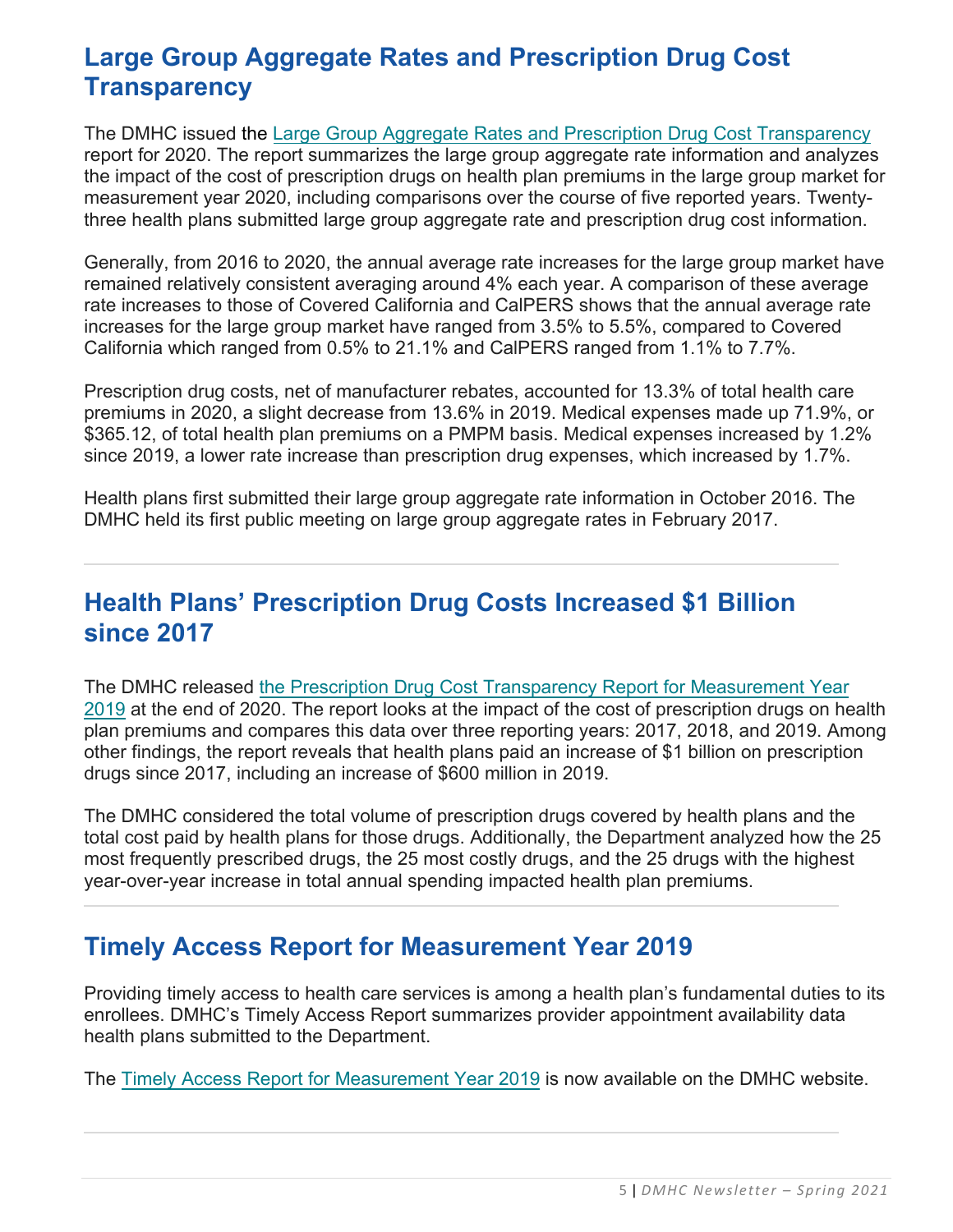#### **Large Group Aggregate Rates and Prescription Drug Cost Transparency**

The DMHC issued the Large Group Aggregate Rates [and Prescription Drug Cost Transparency](https://www.dmhc.ca.gov/Portals/0/Docs/DO/LargeGroupAggregateRatesAndPrescriptionDrugCostsReportForMeasurementYear2020.pdf) report for 2020. The report summarizes the large group aggregate rate information and analyzes the impact of the cost of prescription drugs on health plan premiums in the large group market for measurement year 2020, including comparisons over the course of five reported years. Twentythree health plans submitted large group aggregate rate and prescription drug cost information.

Generally, from 2016 to 2020, the annual average rate increases for the large group market have remained relatively consistent averaging around 4% each year. A comparison of these average rate increases to those of Covered California and CalPERS shows that the annual average rate increases for the large group market have ranged from 3.5% to 5.5%, compared to Covered California which ranged from 0.5% to 21.1% and CalPERS ranged from 1.1% to 7.7%.

Prescription drug costs, net of manufacturer rebates, accounted for 13.3% of total health care premiums in 2020, a slight decrease from 13.6% in 2019. Medical expenses made up 71.9%, or \$365.12, of total health plan premiums on a PMPM basis. Medical expenses increased by 1.2% since 2019, a lower rate increase than prescription drug expenses, which increased by 1.7%.

Health plans first submitted their large group aggregate rate information in October 2016. The DMHC held its first public meeting on large group aggregate rates in February 2017.

# **Health Plans' Prescription Drug Costs Increased \$1 Billion since 2017**

The DMHC released [the Prescription Drug Cost Transparency Report for Measurement Year](https://www.dmhc.ca.gov/Portals/0/Docs/DO/2019SB17PrescriptionDrugTransparencyReport.pdf) [2019](https://www.dmhc.ca.gov/Portals/0/Docs/DO/2019SB17PrescriptionDrugTransparencyReport.pdf) at the end of 2020. The report looks at the impact of the cost of prescription drugs on health plan premiums and compares this data over three reporting years: 2017, 2018, and 2019. Among other findings, the report reveals that health plans paid an increase of \$1 billion on prescription drugs since 2017, including an increase of \$600 million in 2019.

The DMHC considered the total volume of prescription drugs covered by health plans and the total cost paid by health plans for those drugs. Additionally, the Department analyzed how the 25 most frequently prescribed drugs, the 25 most costly drugs, and the 25 drugs with the highest year-over-year increase in total annual spending impacted health plan premiums.

# **Timely Access Report for Measurement Year 2019**

Providing timely access to health care services is among a health plan's fundamental duties to its enrollees. DMHC's Timely Access Report summarizes provider appointment availability data health plans submitted to the Department.

The [Timely Access Report for Measurement Year](https://www.dmhc.ca.gov/Portals/0/Docs/OPM/2019TAR.pdf) 2019 is now available on the DMHC website.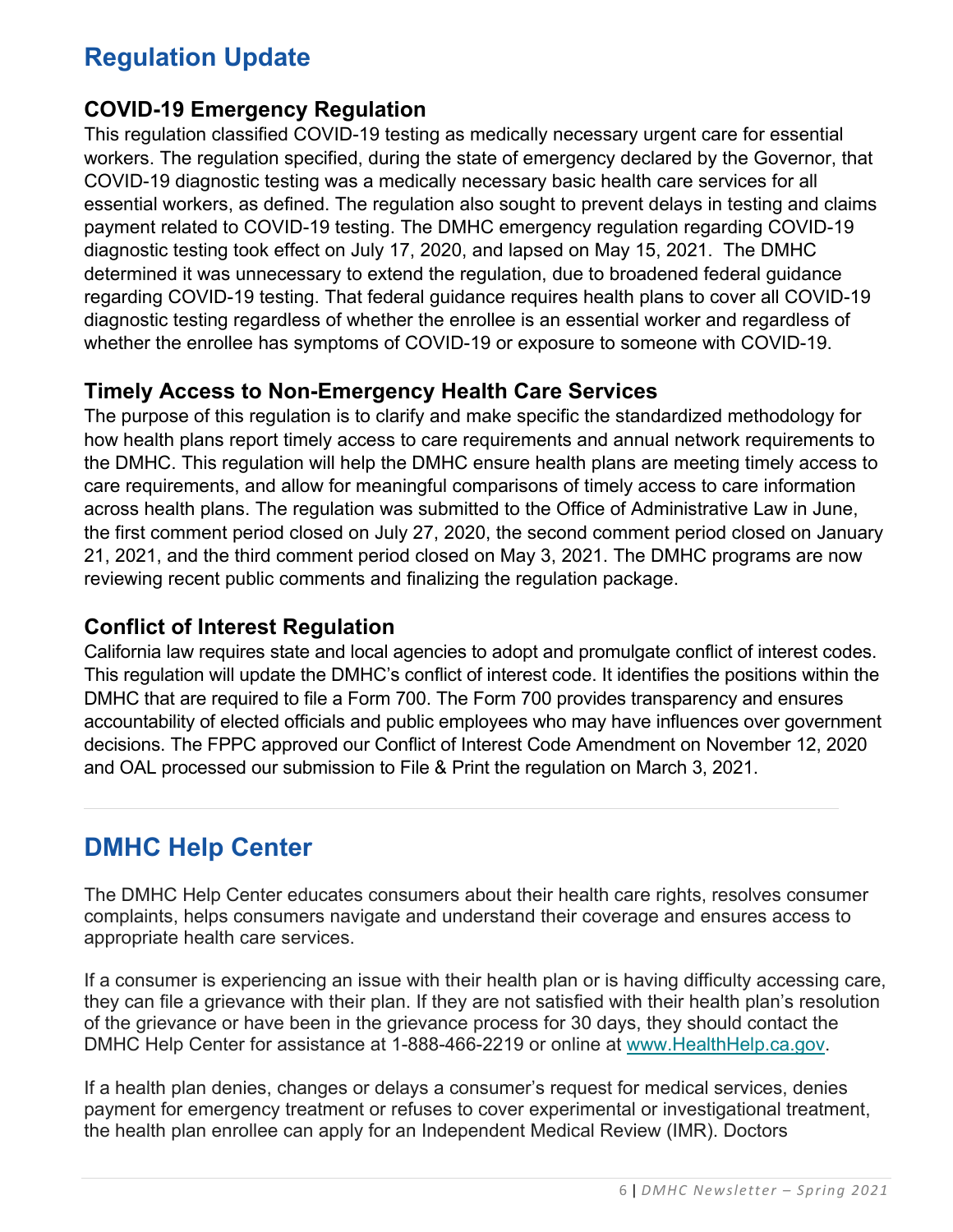# **Regulation Update**

#### **COVID-19 Emergency Regulation**

This regulation classified COVID-19 testing as medically necessary urgent care for essential workers. The regulation specified, during the state of emergency declared by the Governor, that COVID-19 diagnostic testing was a medically necessary basic health care services for all essential workers, as defined. The regulation also sought to prevent delays in testing and claims payment related to COVID-19 testing. The DMHC emergency regulation regarding COVID-19 diagnostic testing took effect on July 17, 2020, and lapsed on May 15, 2021. The DMHC determined it was unnecessary to extend the regulation, due to broadened federal guidance regarding COVID-19 testing. That federal guidance requires health plans to cover all COVID-19 diagnostic testing regardless of whether the enrollee is an essential worker and regardless of whether the enrollee has symptoms of COVID-19 or exposure to someone with COVID-19.

#### **Timely Access to Non-Emergency Health Care Services**

The purpose of this regulation is to clarify and make specific the standardized methodology for how health plans report timely access to care requirements and annual network requirements to the DMHC. This regulation will help the DMHC ensure health plans are meeting timely access to care requirements, and allow for meaningful comparisons of timely access to care information across health plans. The regulation was submitted to the Office of Administrative Law in June, the first comment period closed on July 27, 2020, the second comment period closed on January 21, 2021, and the third comment period closed on May 3, 2021. The DMHC programs are now reviewing recent public comments and finalizing the regulation package.

#### **Conflict of Interest Regulation**

California law requires state and local agencies to adopt and promulgate conflict of interest codes. This regulation will update the DMHC's conflict of interest code. It identifies the positions within the DMHC that are required to file a Form 700. The Form 700 provides transparency and ensures accountability of elected officials and public employees who may have influences over government decisions. The FPPC approved our Conflict of Interest Code Amendment on November 12, 2020 and OAL processed our submission to File & Print the regulation on March 3, 2021.

# **DMHC Help Center**

The DMHC Help Center educates consumers about their health care rights, resolves consumer complaints, helps consumers navigate and understand their coverage and ensures access to appropriate health care services.

If a consumer is experiencing an issue with their health plan or is having difficulty accessing care, they can file a grievance with their plan. If they are not satisfied with their health plan's resolution of the grievance or have been in the grievance process for 30 days, they should contact the DMHC Help Center for assistance at 1-888-466-2219 or online at [www.HealthHelp.ca.gov.](http://www.healthhelp.ca.gov/)

If a health plan denies, changes or delays a consumer's request for medical services, denies payment for emergency treatment or refuses to cover experimental or investigational treatment, the health plan enrollee can apply for an Independent Medical Review (IMR). Doctors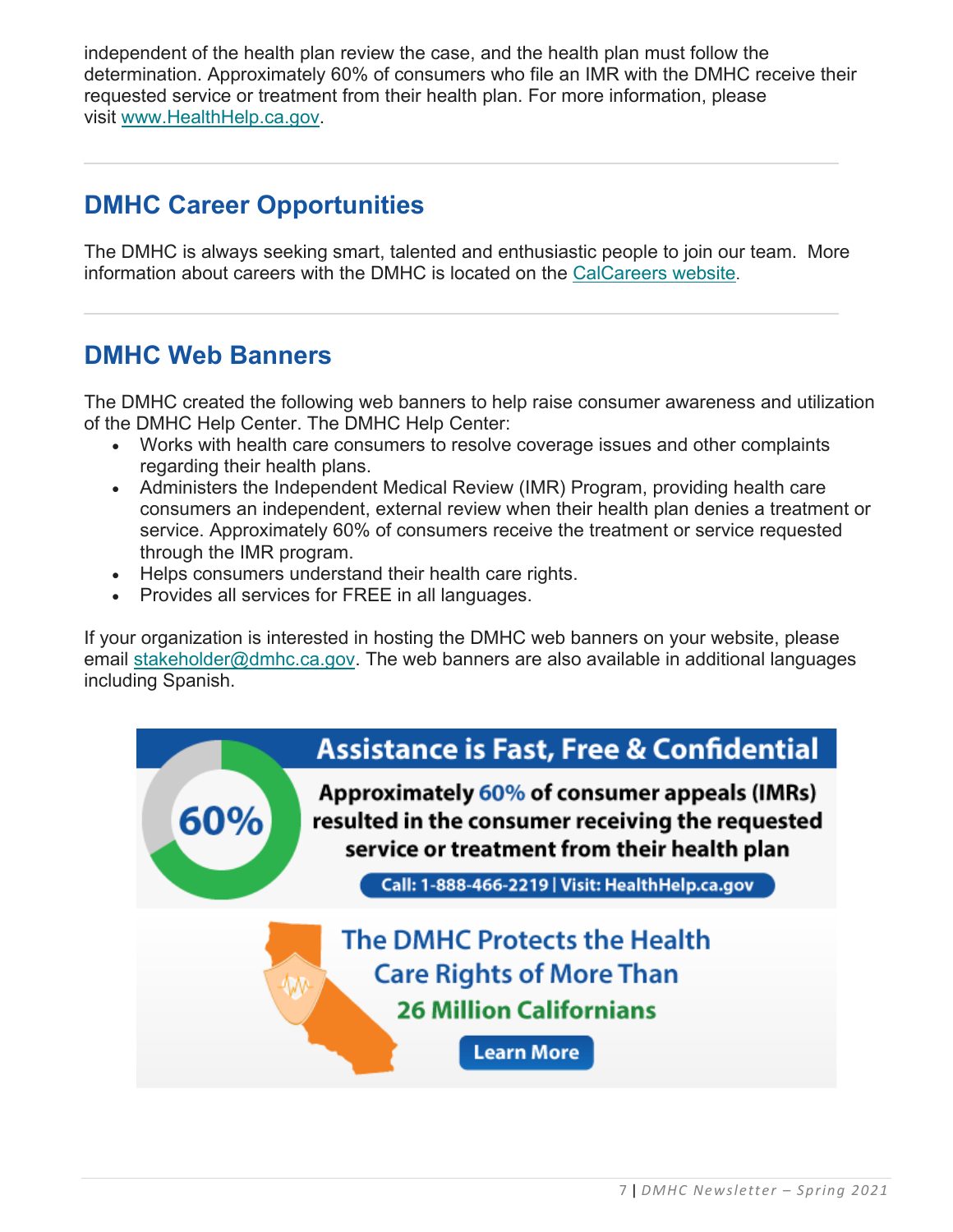independent of the health plan review the case, and the health plan must follow the determination. Approximately 60% of consumers who file an IMR with the DMHC receive their requested service or treatment from their health plan. For more information, please visit [www.HealthHelp.ca.gov.](http://www.healthhelp.ca.gov/)

# **DMHC Career Opportunities**

The DMHC is always seeking smart, talented and enthusiastic people to join our team. More information about careers with the DMHC is located on the [CalCareers website.](https://jobs.ca.gov/CalHRPublic/Search/JobSearchResults.aspx#depid=261)

# **DMHC Web Banners**

The DMHC created the following web banners to help raise consumer awareness and utilization of the DMHC Help Center. The DMHC Help Center:

- Works with health care consumers to resolve coverage issues and other complaints regarding their health plans.
- Administers the Independent Medical Review (IMR) Program, providing health care consumers an independent, external review when their health plan denies a treatment or service. Approximately 60% of consumers receive the treatment or service requested through the IMR program.
- Helps consumers understand their health care rights.
- Provides all services for FREE in all languages.

If your organization is interested in hosting the DMHC web banners on your website, please email [stakeholder@dmhc.ca.gov.](mailto:stakeholder@dmhc.ca.gov) The web banners are also available in additional languages including Spanish.